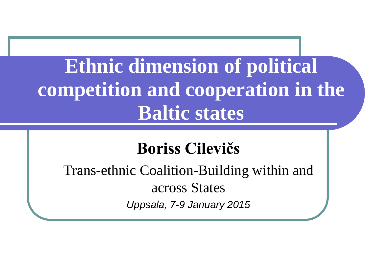### **Ethnic dimension of political competition and cooperation in the Baltic states**

#### **Boriss Cilevičs**

Trans-ethnic Coalition-Building within and across States *Uppsala, 7-9 January 2015*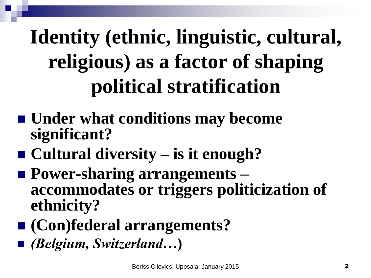# **Identity (ethnic, linguistic, cultural, religious) as a factor of shaping political stratification**

- Under what conditions may become **significant?**
- Cultural diversity is it enough?
- Power-sharing arrangements **accommodates or triggers politicization of ethnicity?**
- **(Con)federal arrangements?**
- *(Belgium, Switzerland…***)**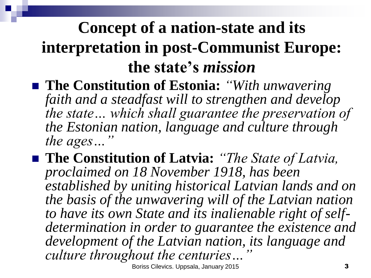#### **Concept of a nation-state and its interpretation in post-Communist Europe: the state's** *mission*

- The Constitution of Estonia: *"With unwavering faith and a steadfast will to strengthen and develop the state… which shall guarantee the preservation of the Estonian nation, language and culture through the ages...*
- The Constitution of Latvia: *'The State of Latvia*, *proclaimed on 18 November 1918, has been established by uniting historical Latvian lands and on the basis of the unwavering will of the Latvian nation to have its own State and its inalienable right of selfdetermination in order to guarantee the existence and development of the Latvian nation, its language and culture throughout the centuries…"*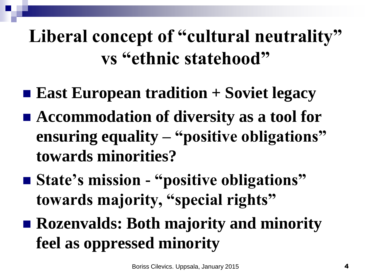#### Liberal concept of "cultural neutrality" **vs "ethnic statehood"**

- **East European tradition + Soviet legacy**
- Accommodation of diversity as a tool for **ensuring equality – "positive obligations" towards minorities?**
- **State's mission "positive obligations" towards majority, "special rights"**
- **Rozenvalds: Both majority and minority feel as oppressed minority**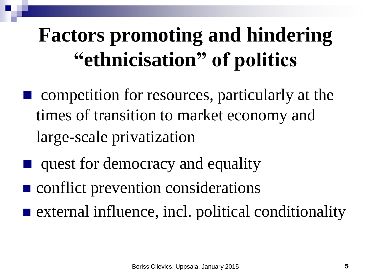# **Factors promoting and hindering "ethnicisation" of politics**

- competition for resources, particularly at the times of transition to market economy and large-scale privatization
- quest for democracy and equality
- **Conflict prevention considerations**
- $\blacksquare$  external influence, incl. political conditionality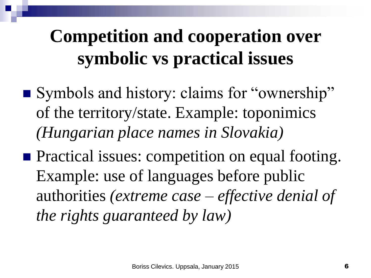### **Competition and cooperation over symbolic vs practical issues**

- Symbols and history: claims for "ownership" of the territory/state. Example: toponimics *(Hungarian place names in Slovakia)*
- **Practical issues: competition on equal footing.** Example: use of languages before public authorities *(extreme case – effective denial of the rights guaranteed by law)*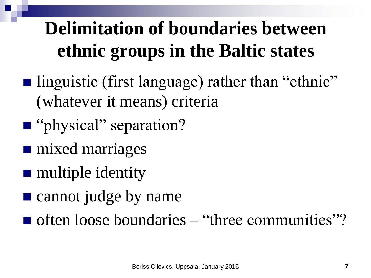### **Delimitation of boundaries between ethnic groups in the Baltic states**

- linguistic (first language) rather than "ethnic" (whatever it means) criteria
- "physical" separation?
- **n** mixed marriages
- **nultiple identity**
- **E** cannot judge by name
- $\blacksquare$  often loose boundaries "three communities"?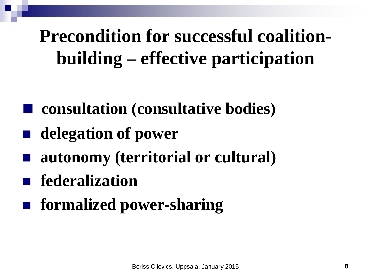### **Precondition for successful coalitionbuilding – effective participation**

- **consultation (consultative bodies)**
- **delegation of power**
- **autonomy (territorial or cultural)**
- **federalization**
- **formalized power-sharing**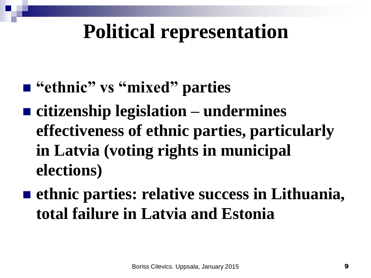## **Political representation**

- "ethnic" vs "mixed" parties
- **citizenship legislation – undermines effectiveness of ethnic parties, particularly in Latvia (voting rights in municipal elections)**
- ethnic parties: relative success in Lithuania, **total failure in Latvia and Estonia**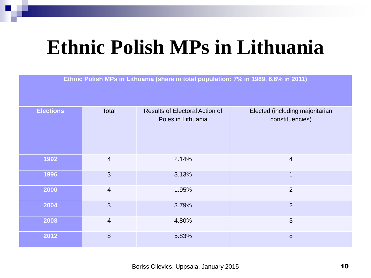## **Ethnic Polish MPs in Lithuania**

**Ethnic Polish MPs in Lithuania (share in total population: 7% in 1989, 6.6% in 2011)**

| <b>Elections</b> | Total                   | <b>Results of Electoral Action of</b><br>Poles in Lithuania | Elected (including majoritarian<br>constituencies) |
|------------------|-------------------------|-------------------------------------------------------------|----------------------------------------------------|
| 1992             | $\overline{\mathbf{4}}$ | 2.14%                                                       | $\overline{4}$                                     |
| 1996             | 3                       | 3.13%                                                       | 1                                                  |
| 2000             | 4                       | 1.95%                                                       | $\overline{2}$                                     |
| 2004             | 3                       | 3.79%                                                       | $\overline{2}$                                     |
| 2008             | 4                       | 4.80%                                                       | 3                                                  |
| 2012             | 8                       | 5.83%                                                       | $\boldsymbol{8}$                                   |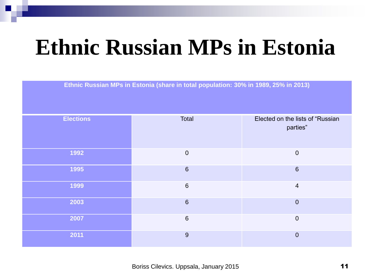# **Ethnic Russian MPs in Estonia**

**Ethnic Russian MPs in Estonia (share in total population: 30% in 1989, 25% in 2013)**

| <b>Elections</b> | Total           | Elected on the lists of "Russian<br>parties" |
|------------------|-----------------|----------------------------------------------|
| 1992             | $\mathbf 0$     | $\mathbf 0$                                  |
| 1995             | $\sqrt{6}$      | $6\phantom{1}6$                              |
| 1999             | $\,6\,$         | $\overline{4}$                               |
| 2003             | $\sqrt{6}$      | $\mathbf 0$                                  |
| 2007             | $6\phantom{1}6$ | $\mathbf 0$                                  |
| 2011             | 9               | $\overline{0}$                               |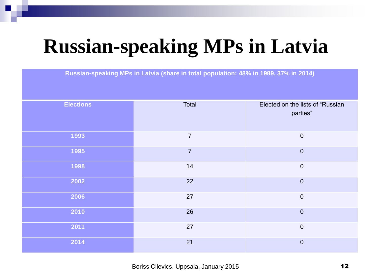## **Russian-speaking MPs in Latvia**

**Russian-speaking MPs in Latvia (share in total population: 48% in 1989, 37% in 2014)**

| <b>Elections</b> | Total          | Elected on the lists of "Russian<br>parties" |
|------------------|----------------|----------------------------------------------|
| 1993             | $\overline{7}$ | $\boldsymbol{0}$                             |
| 1995             | $\overline{7}$ | $\mathbf 0$                                  |
| 1998             | 14             | $\boldsymbol{0}$                             |
| 2002             | 22             | $\theta$                                     |
| 2006             | 27             | $\boldsymbol{0}$                             |
| 2010             | 26             | $\mathbf 0$                                  |
| 2011             | 27             | $\boldsymbol{0}$                             |
| 2014             | 21             | $\overline{0}$                               |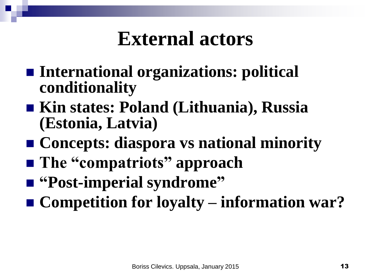### **External actors**

- **International organizations: political conditionality**
- Kin states: Poland (Lithuania), Russia **(Estonia, Latvia)**
- Concepts: diaspora vs national minority
- The "compatriots" approach
- **"Post-imperial syndrome"**
- **Competition for loyalty information war?**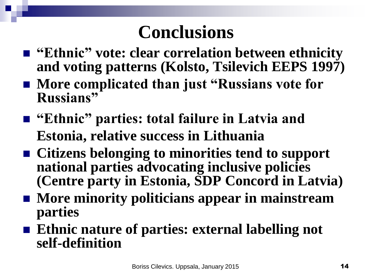- "Ethnic" vote: clear correlation between ethnicity **and voting patterns (Kolsto, Tsilevich EEPS 1997)**
- More complicated than just "Russians vote for **Russians"**
- **"Ethnic" parties: total failure in Latvia and Estonia, relative success in Lithuania**
- Citizens belonging to minorities tend to support **national parties advocating inclusive policies (Centre party in Estonia, SDP Concord in Latvia)**
- More minority politicians appear in mainstream **parties**
- Ethnic nature of parties: external labelling not **self-definition**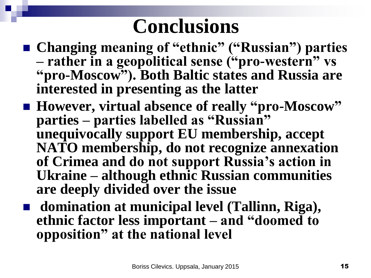- Changing meaning of "ethnic" ("Russian") parties **– rather in a geopolitical sense ("pro-western" vs "pro-Moscow"). Both Baltic states and Russia are interested in presenting as the latter**
- However, virtual absence of really "pro-Moscow" **parties – parties labelled as "Russian" unequivocally support EU membership, accept NATO membership, do not recognize annexation of Crimea and do not support Russia's action in Ukraine – although ethnic Russian communities are deeply divided over the issue**
- **domination at municipal level (Tallinn, Riga), ethnic factor less important – and "doomed to opposition" at the national level**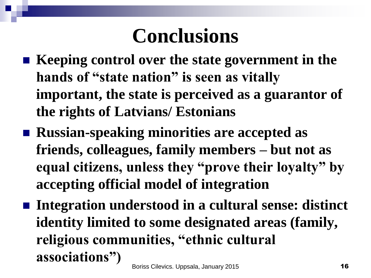- Keeping control over the state government in the **hands of "state nation" is seen as vitally important, the state is perceived as a guarantor of the rights of Latvians/ Estonians**
- Russian-speaking minorities are accepted as **friends, colleagues, family members – but not as equal citizens, unless they "prove their loyalty" by accepting official model of integration**
- Integration understood in a cultural sense: distinct **identity limited to some designated areas (family, religious communities, "ethnic cultural associations")**